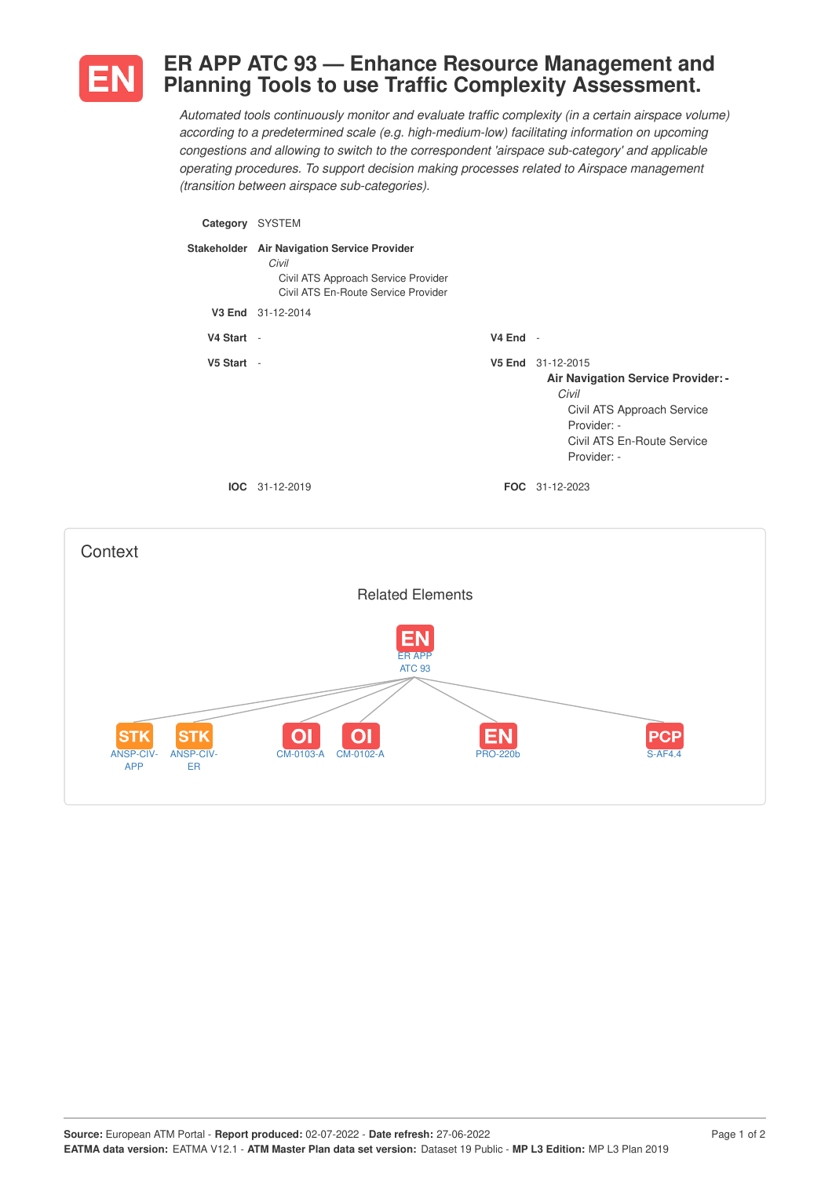

ANSP-CIV-APP

ANSP-CIV-ER

## **ER APP ATC 93 — Enhance Resource Management and Planning Tools to use Traffic Complexity Assessment.**

*Automated tools continuously monitor and evaluate traffic complexity (in a certain airspace volume) according to a predetermined scale (e.g. high-medium-low) facilitating information on upcoming congestions and allowing to switch to the correspondent 'airspace sub-category' and applicable operating procedures. To support decision making processes related to Airspace management (transition between airspace sub-categories).*



CM-0103-A CM-0102-A PRO-220b S-AF4.4